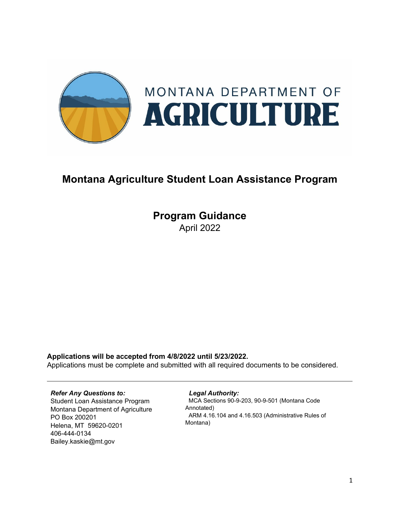

# **Montana Agriculture Student Loan Assistance Program**

**Program Guidance** April 2022

**Applications will be accepted from 4/8/2022 until 5/23/2022.** 

Applications must be complete and submitted with all required documents to be considered.

### *Refer Any Questions to:*

Student Loan Assistance Program Montana Department of Agriculture PO Box 200201 Helena, MT 59620-0201 406-444-0134 Bailey.kaskie@mt.gov

#### *Legal Authority:*

 MCA Sections 90-9-203, 90-9-501 (Montana Code Annotated) ARM 4.16.104 and 4.16.503 (Administrative Rules of Montana)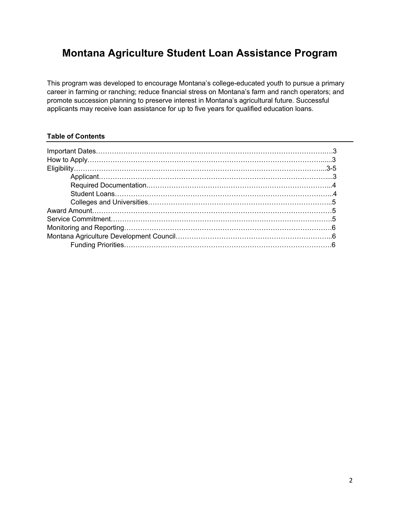## **Montana Agriculture Student Loan Assistance Program**

This program was developed to encourage Montana's college-educated youth to pursue a primary career in farming or ranching; reduce financial stress on Montana's farm and ranch operators; and promote succession planning to preserve interest in Montana's agricultural future. Successful applicants may receive loan assistance for up to five years for qualified education loans.

## **Table of Contents**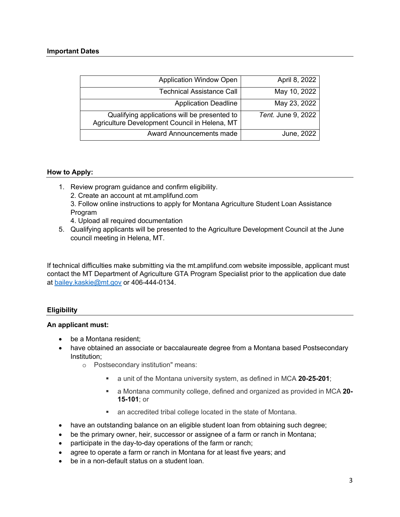| <b>Application Window Open</b>                                                                | April 8, 2022      |
|-----------------------------------------------------------------------------------------------|--------------------|
| <b>Technical Assistance Call</b>                                                              | May 10, 2022       |
| <b>Application Deadline</b>                                                                   | May 23, 2022       |
| Qualifying applications will be presented to<br>Agriculture Development Council in Helena, MT | Tent. June 9, 2022 |
| Award Announcements made                                                                      | June, 2022         |

## **How to Apply:**

- 1. Review program guidance and confirm eligibility. 2. Create an account at mt.amplifund.com
	- 3. Follow online instructions to apply for Montana Agriculture Student Loan Assistance Program
	- 4. Upload all required documentation
- 5. Qualifying applicants will be presented to the Agriculture Development Council at the June council meeting in Helena, MT.

If technical difficulties make submitting via the mt.amplifund.com website impossible, applicant must contact the MT Department of Agriculture GTA Program Specialist prior to the application due date at [bailey.kaskie@mt.gov](mailto:bailey.kaskie@mt.gov) or 406-444-0134.

## **Eligibility**

### **An applicant must:**

- be a Montana resident:
- have obtained an associate or baccalaureate degree from a Montana based Postsecondary Institution;
	- o Postsecondary institution" means:
		- a unit of the Montana university system, as defined in MCA **[20-25-201](https://leg.mt.gov/bills/mca/title_0200/chapter_0250/part_0020/section_0010/0200-0250-0020-0010.html)**;
		- a Montana community college, defined and organized as provided in MCA **[20-](https://leg.mt.gov/bills/mca/title_0200/chapter_0150/part_0010/section_0010/0200-0150-0010-0010.html) [15-101](https://leg.mt.gov/bills/mca/title_0200/chapter_0150/part_0010/section_0010/0200-0150-0010-0010.html)**; or
		- an accredited tribal college located in the state of Montana.
- have an outstanding balance on an eligible student loan from obtaining such degree;
- be the primary owner, heir, successor or assignee of a farm or ranch in Montana;
- participate in the day-to-day operations of the farm or ranch;
- agree to operate a farm or ranch in Montana for at least five years; and
- be in a non-default status on a student loan.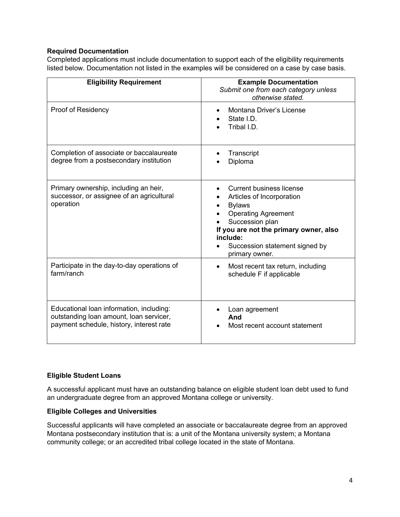## **Required Documentation**

Completed applications must include documentation to support each of the eligibility requirements listed below. Documentation not listed in the examples will be considered on a case by case basis.

| <b>Eligibility Requirement</b>                                                                                                  | <b>Example Documentation</b><br>Submit one from each category unless<br>otherwise stated.                                                                                                                                                |
|---------------------------------------------------------------------------------------------------------------------------------|------------------------------------------------------------------------------------------------------------------------------------------------------------------------------------------------------------------------------------------|
| Proof of Residency                                                                                                              | Montana Driver's License<br>State I.D.<br>Tribal I.D.                                                                                                                                                                                    |
| Completion of associate or baccalaureate<br>degree from a postsecondary institution                                             | Transcript<br>Diploma                                                                                                                                                                                                                    |
| Primary ownership, including an heir,<br>successor, or assignee of an agricultural<br>operation                                 | <b>Current business license</b><br>Articles of Incorporation<br><b>Bylaws</b><br><b>Operating Agreement</b><br>Succession plan<br>If you are not the primary owner, also<br>include:<br>Succession statement signed by<br>primary owner. |
| Participate in the day-to-day operations of<br>farm/ranch                                                                       | Most recent tax return, including<br>$\bullet$<br>schedule F if applicable                                                                                                                                                               |
| Educational loan information, including:<br>outstanding loan amount, loan servicer,<br>payment schedule, history, interest rate | Loan agreement<br>And<br>Most recent account statement                                                                                                                                                                                   |

## **Eligible Student Loans**

A successful applicant must have an outstanding balance on eligible student loan debt used to fund an undergraduate degree from an approved Montana college or university.

### **Eligible Colleges and Universities**

Successful applicants will have completed an associate or baccalaureate degree from an approved Montana postsecondary institution that is: a unit of the Montana university system; a Montana community college; or an accredited tribal college located in the state of Montana.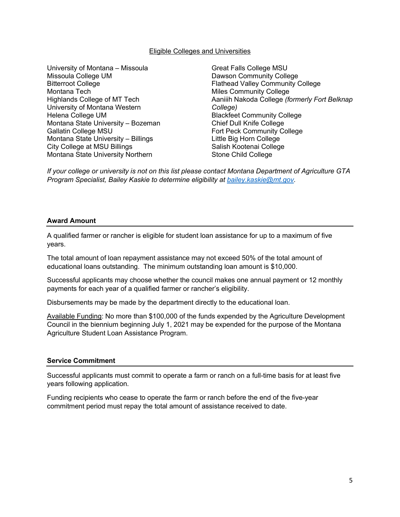#### Eligible Colleges and Universities

University of Montana – Missoula Missoula College UM Bitterroot College Montana Tech Highlands College of MT Tech University of Montana Western Helena College UM Montana State University – Bozeman Gallatin College MSU Montana State University – Billings City College at MSU Billings Montana State University Northern

Great Falls College MSU Dawson Community College Flathead Valley Community College Miles Community College Aaniiih Nakoda College *(formerly Fort Belknap College)* Blackfeet Community College Chief Dull Knife College Fort Peck Community College Little Big Horn College Salish Kootenai College Stone Child College

*If your college or university is not on this list please contact Montana Department of Agriculture GTA Program Specialist, Bailey Kaskie to determine eligibility at [bailey.kaskie@mt.gov.](mailto:bailey.kaskie@mt.gov)* 

#### **Award Amount**

A qualified farmer or rancher is eligible for student loan assistance for up to a maximum of five years.

The total amount of loan repayment assistance may not exceed 50% of the total amount of educational loans outstanding. The minimum outstanding loan amount is \$10,000.

Successful applicants may choose whether the council makes one annual payment or 12 monthly payments for each year of a qualified farmer or rancher's eligibility.

Disbursements may be made by the department directly to the educational loan.

Available Funding: No more than \$100,000 of the funds expended by the Agriculture Development Council in the biennium beginning July 1, 2021 may be expended for the purpose of the Montana Agriculture Student Loan Assistance Program.

#### **Service Commitment**

Successful applicants must commit to operate a farm or ranch on a full-time basis for at least five years following application.

Funding recipients who cease to operate the farm or ranch before the end of the five-year commitment period must repay the total amount of assistance received to date.